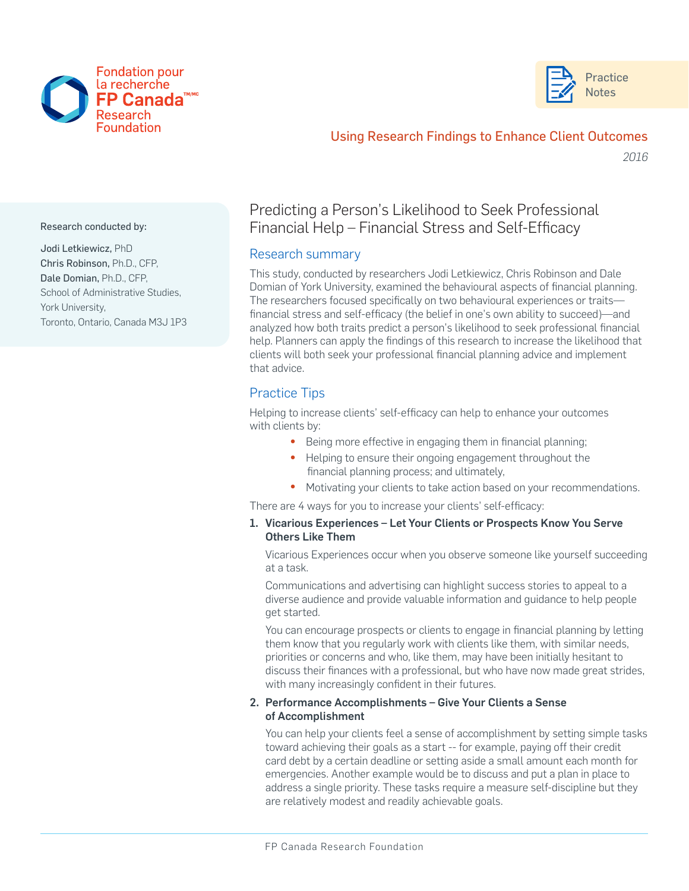



## Using Research Findings to Enhance Client Outcomes

*2016*

Research conducted by:

Jodi Letkiewicz, PhD Chris Robinson, Ph.D., CFP, Dale Domian, Ph.D., CFP, School of Administrative Studies, York University, Toronto, Ontario, Canada M3J 1P3

# Predicting a Person's Likelihood to Seek Professional Financial Help – Financial Stress and Self-Efficacy

### Research summary

This study, conducted by researchers Jodi Letkiewicz, Chris Robinson and Dale Domian of York University, examined the behavioural aspects of financial planning. The researchers focused specifically on two behavioural experiences or traits financial stress and self-efficacy (the belief in one's own ability to succeed)—and analyzed how both traits predict a person's likelihood to seek professional financial help. Planners can apply the findings of this research to increase the likelihood that clients will both seek your professional financial planning advice and implement that advice.

## Practice Tips

Helping to increase clients' self-efficacy can help to enhance your outcomes with clients by:

- Being more effective in engaging them in financial planning;
- Helping to ensure their ongoing engagement throughout the financial planning process; and ultimately,
- Motivating your clients to take action based on your recommendations.

There are 4 ways for you to increase your clients' self-efficacy:

#### 1. Vicarious Experiences – Let Your Clients or Prospects Know You Serve Others Like Them

Vicarious Experiences occur when you observe someone like yourself succeeding at a task.

Communications and advertising can highlight success stories to appeal to a diverse audience and provide valuable information and guidance to help people get started.

You can encourage prospects or clients to engage in financial planning by letting them know that you regularly work with clients like them, with similar needs, priorities or concerns and who, like them, may have been initially hesitant to discuss their finances with a professional, but who have now made great strides, with many increasingly confident in their futures.

#### 2. Performance Accomplishments – Give Your Clients a Sense of Accomplishment

You can help your clients feel a sense of accomplishment by setting simple tasks toward achieving their goals as a start -- for example, paying off their credit card debt by a certain deadline or setting aside a small amount each month for emergencies. Another example would be to discuss and put a plan in place to address a single priority. These tasks require a measure self-discipline but they are relatively modest and readily achievable goals.